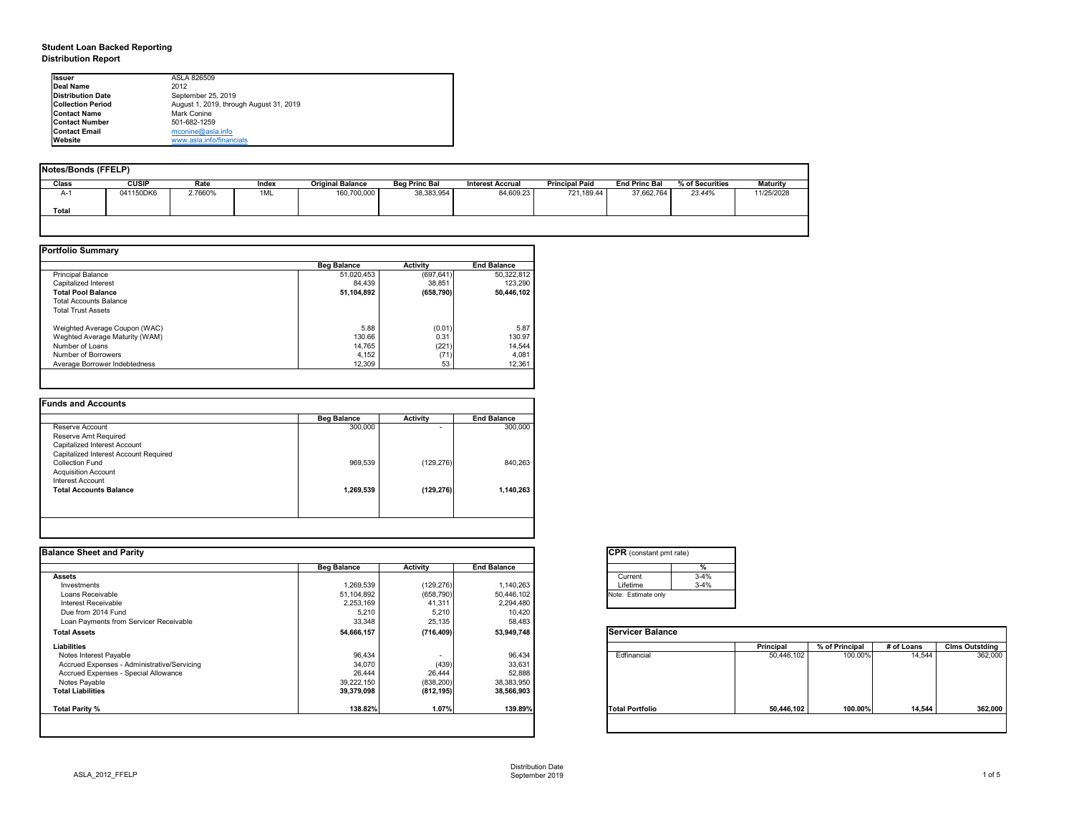## **Student Loan Backed Reporting Distribution Report**

| Notes/Bonds (FFELP) |              |         |       |                         |                      |                         |                       |                      |                 |                 |
|---------------------|--------------|---------|-------|-------------------------|----------------------|-------------------------|-----------------------|----------------------|-----------------|-----------------|
| <b>Class</b>        | <b>CUSIP</b> | Rate    | Index | <b>Original Balance</b> | <b>Beg Princ Bal</b> | <b>Interest Accrual</b> | <b>Principal Paid</b> | <b>End Princ Bal</b> | % of Securities | <b>Maturity</b> |
| A-1                 | 041150DK6    | 2.7660% | 1ML   | 160,700,000             | 38,383,954           | 84,609.23               | 721,189.44            | 37,662,764           | 23.44%          | 11/25/2028      |
| <b>Total</b>        |              |         |       |                         |                      |                         |                       |                      |                 |                 |
|                     |              |         |       |                         |                      |                         |                       |                      |                 |                 |

|                                | <b>Beg Balance</b> | <b>Activity</b> | <b>End Balance</b> |
|--------------------------------|--------------------|-----------------|--------------------|
| <b>Principal Balance</b>       | 51,020,453         | (697, 641)      | 50,322,812         |
| Capitalized Interest           | 84,439             | 38,851          | 123,290            |
| <b>Total Pool Balance</b>      | 51,104,892         | (658, 790)      | 50,446,102         |
| <b>Total Accounts Balance</b>  |                    |                 |                    |
| <b>Total Trust Assets</b>      |                    |                 |                    |
| Weighted Average Coupon (WAC)  | 5.88               | (0.01)          | 5.87               |
| Weghted Average Maturity (WAM) | 130.66             | 0.31            | 130.97             |
| Number of Loans                | 14,765             | (221)           | 14,544             |
| Number of Borrowers            | 4,152              | (71)            | 4,081              |
| Average Borrower Indebtedness  | 12,309             | 53              | 12,361             |

|                                       | <b>Beg Balance</b> | <b>Activity</b> | <b>End Balance</b> |
|---------------------------------------|--------------------|-----------------|--------------------|
| Reserve Account                       | 300,000            | $\blacksquare$  | 300,000            |
| Reserve Amt Required                  |                    |                 |                    |
| Capitalized Interest Account          |                    |                 |                    |
| Capitalized Interest Account Required |                    |                 |                    |
| <b>Collection Fund</b>                | 969,539            | (129, 276)      | 840,263            |
| <b>Acquisition Account</b>            |                    |                 |                    |
| Interest Account                      |                    |                 |                    |
| <b>Total Accounts Balance</b>         | 1,269,539          | (129, 276)      | 1,140,263          |
|                                       |                    |                 |                    |
|                                       |                    |                 |                    |

| <b>Ilssuer</b>           | ASLA 826509                             |
|--------------------------|-----------------------------------------|
| Deal Name                | 2012                                    |
| Distribution Date        | September 25, 2019                      |
| <b>Collection Period</b> | August 1, 2019, through August 31, 2019 |
| <b>IContact Name</b>     | <b>Mark Conine</b>                      |
| <b>IContact Number</b>   | 501-682-1259                            |
| <b>Contact Email</b>     | mconine@asla.info                       |
| <b>IWebsite</b>          | www.asla.info/financials                |

| <b>Beg Balance</b> | <b>Activity</b>                                                   | <b>End Balance</b> |                         |                  |                |            |                       |
|--------------------|-------------------------------------------------------------------|--------------------|-------------------------|------------------|----------------|------------|-----------------------|
|                    |                                                                   |                    |                         |                  |                |            |                       |
|                    |                                                                   |                    | $3 - 4%$<br>Current     |                  |                |            |                       |
| 1,269,539          | (129, 276)                                                        | 1,140,263          | $3 - 4%$<br>Lifetime    |                  |                |            |                       |
|                    | (658, 790)                                                        | 50,446,102         | Note: Estimate only     |                  |                |            |                       |
|                    | 41,311                                                            | 2,294,480          |                         |                  |                |            |                       |
| 5,210              | 5,210                                                             |                    |                         |                  |                |            |                       |
| 33,348             | 25,135                                                            | 58,483             |                         |                  |                |            |                       |
|                    | (716, 409)                                                        | 53,949,748         | <b>Servicer Balance</b> |                  |                |            |                       |
|                    |                                                                   |                    |                         | <b>Principal</b> | % of Principal | # of Loans | <b>Clms Outstding</b> |
| 96,434             | $\sim$                                                            | 96,434             | Edfinancial             | 50,446,102       | 100.00%        | 14,544     | 362,000               |
| 34,070             | (439)                                                             | 33,631             |                         |                  |                |            |                       |
| 26,444             | 26,444                                                            | 52,888             |                         |                  |                |            |                       |
|                    | (838, 200)                                                        | 38,383,950         |                         |                  |                |            |                       |
|                    | (812, 195)                                                        | 38,566,903         |                         |                  |                |            |                       |
| 138.82%            | 1.07%                                                             | 139.89%            | <b>Total Portfolio</b>  | 50,446,102       | 100.00%        | 14,544     | 362,000               |
|                    | 51,104,892<br>2,253,169<br>54,666,157<br>39,222,150<br>39,379,098 |                    | 10,420                  |                  |                |            |                       |

| tant pmt rate) |          |
|----------------|----------|
|                | %        |
|                | $3 - 4%$ |
|                | $3 - 4%$ |
| te only        |          |
|                |          |

|      | <b>Principal</b> | % of Principal | # of Loans | <b>Clms Outstding</b> |  |  |
|------|------------------|----------------|------------|-----------------------|--|--|
| al   | 50,446,102       | 100.00%        | 14,544     | 362,000               |  |  |
| oilc | 50,446,102       | 100.00%        | 14,544     | 362,000               |  |  |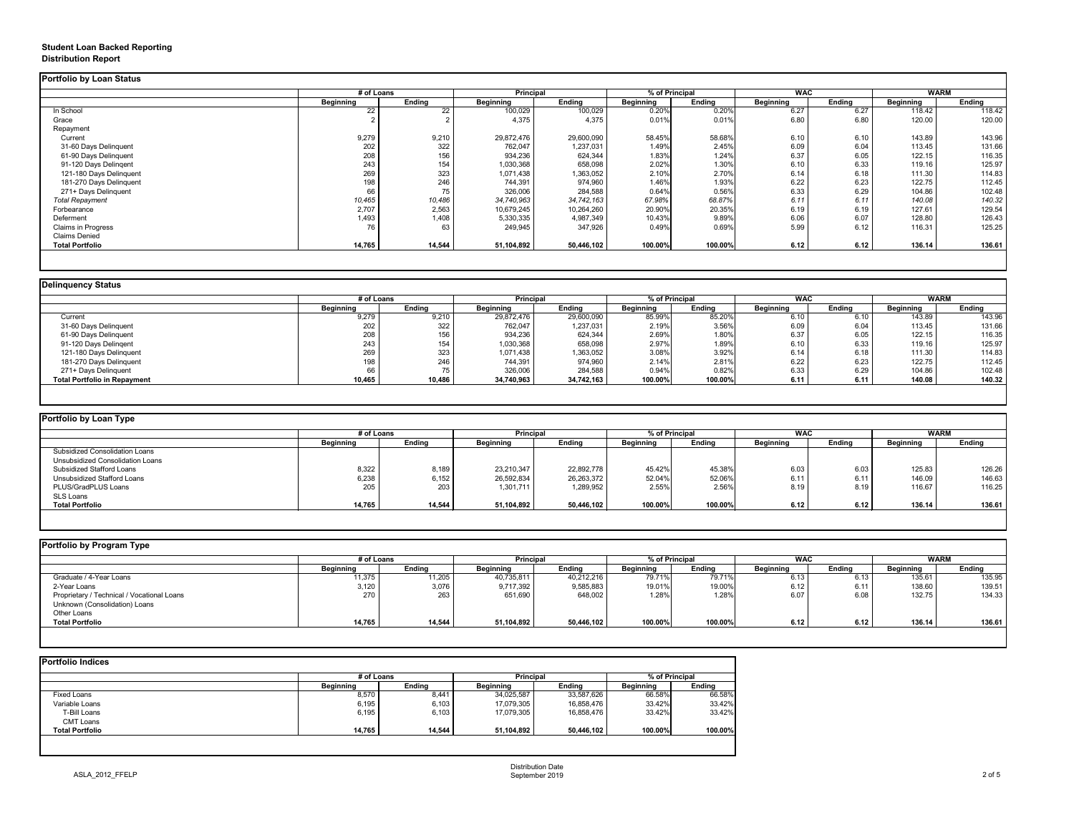# **Student Loan Backed Reporting Distribution Report**

### **Delinquency Status**

|                         | # of Loans       |               | <b>Principal</b> |               | % of Principal   |               | <b>WAC</b>       |               | <b>WARM</b>      |               |
|-------------------------|------------------|---------------|------------------|---------------|------------------|---------------|------------------|---------------|------------------|---------------|
|                         | <b>Beginning</b> | <b>Ending</b> | <b>Beginning</b> | <b>Ending</b> | <b>Beginning</b> | <b>Ending</b> | <b>Beginning</b> | <b>Ending</b> | <b>Beginning</b> | <b>Ending</b> |
| In School               | 22               | 22            | 100,029          | 100,029       | 0.20%            | 0.20%         | 6.27             | 6.27          | 118.42           | 118.42        |
| Grace                   |                  |               | 4,375            | 4,375         | 0.01%            | 0.01%         | 6.80             | 6.80          | 120.00           | 120.00        |
| Repayment               |                  |               |                  |               |                  |               |                  |               |                  |               |
| Current                 | 9,279            | 9,210         | 29,872,476       | 29,600,090    | 58.45%           | 58.68%        | 6.10             | 6.10          | 143.89           | 143.96        |
| 31-60 Days Delinquent   | 202              | 322           | 762,047          | 1,237,031     | 1.49%            | 2.45%         | 6.09             | 6.04          | 113.45           | 131.66        |
| 61-90 Days Delinquent   | 208              | 156           | 934,236          | 624,344       | 1.83%            | 1.24%         | 6.37             | 6.05          | 122.15           | 116.35        |
| 91-120 Days Delingent   | 243              | 154           | 1,030,368        | 658,098       | 2.02%            | 1.30%         | 6.10             | 6.33          | 119.16           | 125.97        |
| 121-180 Days Delinquent | 269              | 323           | 1,071,438        | 1,363,052     | 2.10%            | 2.70%         | 6.14             | 6.18          | 111.30           | 114.83        |
| 181-270 Days Delinquent | 198              | 246           | 744,391          | 974,960       | 1.46%            | 1.93%         | 6.22             | 6.23          | 122.75           | 112.45        |
| 271+ Days Delinquent    | 66               | 75            | 326,006          | 284,588       | 0.64%            | 0.56%         | 6.33             | 6.29          | 104.86           | 102.48        |
| <b>Total Repayment</b>  | 10,465           | 10,486        | 34,740,963       | 34,742,163    | 67.98%           | 68.87%        | 6.11             | 6.11          | 140.08           | 140.32        |
| Forbearance             | 2,707            | 2,563         | 10,679,245       | 10,264,260    | 20.90%           | 20.35%        | 6.19             | 6.19          | 127.61           | 129.54        |
| Deferment               | 1,493            | 1,408         | 5,330,335        | 4,987,349     | 10.43%           | 9.89%         | 6.06             | 6.07          | 128.80           | 126.43        |
| Claims in Progress      | 76               | 63            | 249,945          | 347,926       | 0.49%            | 0.69%         | 5.99             | 6.12          | 116.31           | 125.25        |
| <b>Claims Denied</b>    |                  |               |                  |               |                  |               |                  |               |                  |               |
| <b>Total Portfolio</b>  | 14,765           | 14,544        | 51,104,892       | 50,446,102    | 100.00%          | 100.00%       | 6.12             | 6.12          | 136.14           | 136.61        |

|                                     | # of Loans       |               | <b>Principal</b> |               | % of Principal |               | <b>WAC</b>       |        | <b>WARM</b>      |               |
|-------------------------------------|------------------|---------------|------------------|---------------|----------------|---------------|------------------|--------|------------------|---------------|
|                                     | <b>Beginning</b> | <b>Ending</b> | <b>Beginning</b> | <b>Ending</b> | Beginning      | <b>Ending</b> | <b>Beginning</b> | Ending | <b>Beginning</b> | <b>Ending</b> |
| Current                             | 9,279            | 9,210         | 29,872,476       | 29,600,090    | 85.99%         | 85.20%        | 6.10             | 6.10   | 143.89           | 143.96        |
| 31-60 Days Delinquent               | 202              | 322           | 762,047          | 1,237,031     | 2.19%          | 3.56%         | 6.09             | 6.04   | 113.45           | 131.66        |
| 61-90 Days Delinquent               | 208              | 156           | 934,236          | 624,344       | 2.69%          | 1.80%         | 6.37             | 6.05   | 122.15           | 116.35        |
| 91-120 Days Delingent               | 243              | 154           | 1,030,368        | 658,098       | 2.97%          | 1.89%         | 6.10             | 6.33   | 119.16           | 125.97        |
| 121-180 Days Delinquent             | 269              | 323           | 1,071,438        | 1,363,052     | 3.08%          | 3.92%         | 6.14             | 6.18   | 111.30           | 114.83        |
| 181-270 Days Delinquent             | 198              | 246           | 744,391          | 974,960       | 2.14%          | 2.81%         | 6.22             | 6.23   | 122.75           | 112.45        |
| 271+ Days Delinquent                | 66               |               | 326,006          | 284,588       | 0.94%          | 0.82%         | 6.33             | 6.29   | 104.86           | 102.48        |
| <b>Total Portfolio in Repayment</b> | 10,465           | 10,486        | 34,740,963       | 34,742,163    | 100.00%        | 100.00%       | 6.11             | 6.11   | 140.08           | 140.32        |

| Portfolio by Loan Type                |                  |               |                  |                  |                  |                |                  |        |                  |               |
|---------------------------------------|------------------|---------------|------------------|------------------|------------------|----------------|------------------|--------|------------------|---------------|
|                                       | # of Loans       |               |                  | <b>Principal</b> |                  | % of Principal | <b>WAC</b>       |        | <b>WARM</b>      |               |
|                                       | <b>Beginning</b> | <b>Ending</b> | <b>Beginning</b> | <b>Ending</b>    | <b>Beginning</b> | <b>Ending</b>  | <b>Beginning</b> | Ending | <b>Beginning</b> | <b>Ending</b> |
| <b>Subsidized Consolidation Loans</b> |                  |               |                  |                  |                  |                |                  |        |                  |               |
| Unsubsidized Consolidation Loans      |                  |               |                  |                  |                  |                |                  |        |                  |               |
| <b>Subsidized Stafford Loans</b>      | 8,322            | 8,189         | 23,210,347       | 22,892,778       | 45.42%           | 45.38%         | 6.03             | 6.03   | 125.83           | 126.26        |
| Unsubsidized Stafford Loans           | 6,238            | 6,152         | 26,592,834       | 26,263,372       | 52.04%           | 52.06%         | 6.11             | 6.11   | 146.09           | 146.63        |
| PLUS/GradPLUS Loans                   | 205              | 203           | 1,301,711        | 1,289,952        | 2.55%            | 2.56%          | 8.19             | 8.19   | 116.67           | 116.25        |
| SLS Loans                             |                  |               |                  |                  |                  |                |                  |        |                  |               |
| <b>Total Portfolio</b>                | 14,765           | 14,544        | 51,104,892       | 50,446,102       | 100.00%          | 100.00%        | 6.12             | 6.12   | 136.14           | 136.61        |

|                                            |                  | # of Loans    |                  | <b>Principal</b> |                  | % of Principal |                  | <b>WAC</b> |                  | <b>WARM</b> |  |
|--------------------------------------------|------------------|---------------|------------------|------------------|------------------|----------------|------------------|------------|------------------|-------------|--|
|                                            | <b>Beginning</b> | <b>Ending</b> | <b>Beginning</b> | <b>Ending</b>    | <b>Beginning</b> | <b>Ending</b>  | <b>Beginning</b> | Ending     | <b>Beginning</b> | Ending      |  |
| Graduate / 4-Year Loans                    | 11,375           | 11,205        | 40,735,811       | 40,212,216       | 79.71%           | 79.71%         | 6.13             | 6.13       | 135.61           | 135.95      |  |
| 2-Year Loans                               | 3,120            | 3,076         | 9,717,392        | 9,585,883        | 19.01%           | 19.00%         | 6.12             | 6.11       | 138.60           | 139.51      |  |
| Proprietary / Technical / Vocational Loans | 270              | 263           | 651,690          | 648,002          | 1.28%            | 1.28%          | 6.07             | 6.08       | 132.75           | 134.33      |  |
| Unknown (Consolidation) Loans              |                  |               |                  |                  |                  |                |                  |            |                  |             |  |
| Other Loans                                |                  |               |                  |                  |                  |                |                  |            |                  |             |  |
| <b>Total Portfolio</b>                     | 14,765           | 14,544        | 51,104,892       | 50,446,102       | 100.00%          | 100.00%        | 6.12             | 6.12       | 136.14           | 136.61      |  |

|                        | # of Loans       | <b>Principal</b> |                  | % of Principal |                  |               |
|------------------------|------------------|------------------|------------------|----------------|------------------|---------------|
|                        | <b>Beginning</b> | <b>Ending</b>    | <b>Beginning</b> | <b>Ending</b>  | <b>Beginning</b> | <b>Ending</b> |
| <b>Fixed Loans</b>     | 8,570            | 8,441            | 34,025,587       | 33,587,626     | 66.58%           | 66.58%        |
| Variable Loans         | 6,195            | 6,103            | 17,079,305       | 16,858,476     | 33.42%           | 33.42%        |
| T-Bill Loans           | 6,195            | 6,103            | 17,079,305       | 16,858,476     | 33.42%           | 33.42%        |
| <b>CMT Loans</b>       |                  |                  |                  |                |                  |               |
| <b>Total Portfolio</b> | 14,765           | 14,544           | 51,104,892       | 50,446,102     | 100.00%          | 100.00%       |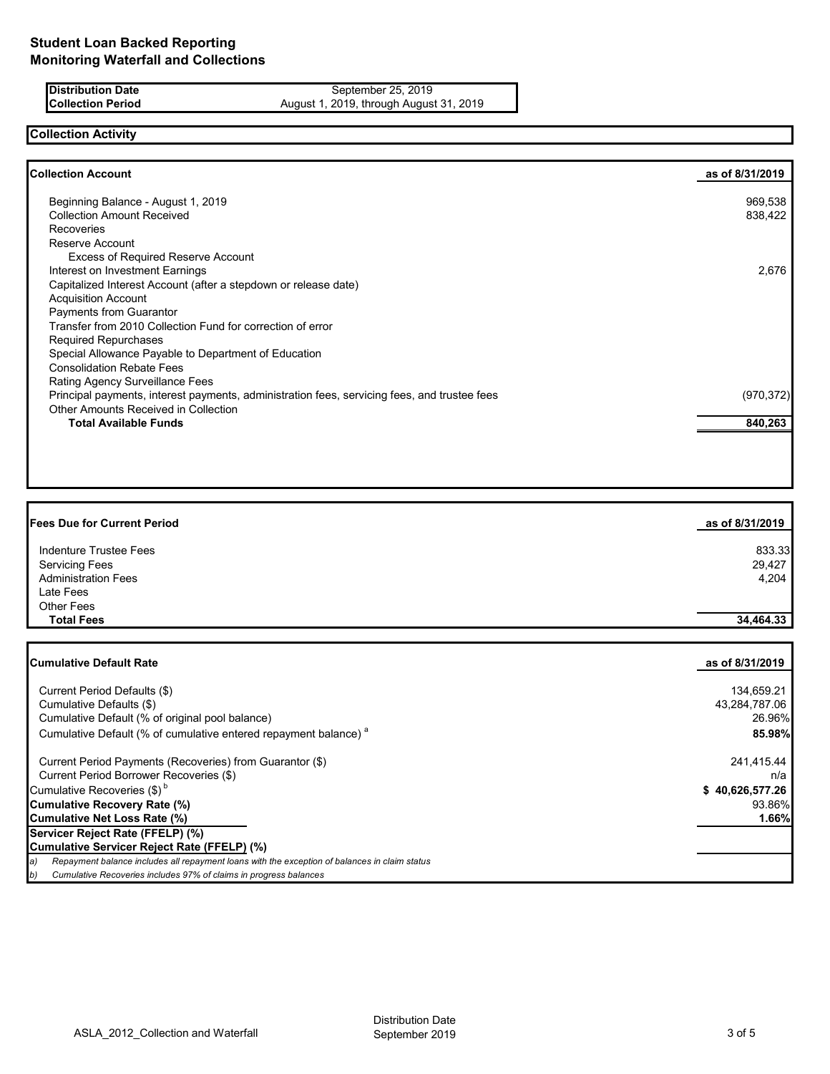**Distribution Date** September 25, 2019<br>**Collection Period** August 1, 2019, through August **Collection Period** August 1, 2019, through August 31, 2019

## **Collection Activity**

| <b>Collection Account</b>                                                                    | as of 8/31/2019 |
|----------------------------------------------------------------------------------------------|-----------------|
| Beginning Balance - August 1, 2019                                                           | 969,538         |
| <b>Collection Amount Received</b>                                                            | 838,422         |
| <b>Recoveries</b>                                                                            |                 |
| Reserve Account                                                                              |                 |
| <b>Excess of Required Reserve Account</b>                                                    |                 |
| Interest on Investment Earnings                                                              | 2,676           |
| Capitalized Interest Account (after a stepdown or release date)                              |                 |
| <b>Acquisition Account</b>                                                                   |                 |
| Payments from Guarantor                                                                      |                 |
| Transfer from 2010 Collection Fund for correction of error                                   |                 |
| <b>Required Repurchases</b>                                                                  |                 |
| Special Allowance Payable to Department of Education                                         |                 |
| <b>Consolidation Rebate Fees</b>                                                             |                 |
| <b>Rating Agency Surveillance Fees</b>                                                       |                 |
| Principal payments, interest payments, administration fees, servicing fees, and trustee fees | (970, 372)      |
| <b>Other Amounts Received in Collection</b>                                                  |                 |
| <b>Total Available Funds</b>                                                                 | 840,263         |

| <b>Fees Due for Current Period</b> | as of 8/31/2019 |
|------------------------------------|-----------------|
| Indenture Trustee Fees             | 833.33          |
| <b>Servicing Fees</b>              | 29,427          |
| <b>Administration Fees</b>         | 4,204           |
| Late Fees                          |                 |
| <b>Other Fees</b>                  |                 |
| <b>Total Fees</b>                  | 34,464.33       |

| <b>Cumulative Default Rate</b>                                                                      | as of 8/31/2019 |
|-----------------------------------------------------------------------------------------------------|-----------------|
| Current Period Defaults (\$)                                                                        | 134,659.21      |
| Cumulative Defaults (\$)                                                                            | 43,284,787.06   |
| Cumulative Default (% of original pool balance)                                                     | 26.96%          |
| Cumulative Default (% of cumulative entered repayment balance) <sup>a</sup>                         | 85.98%          |
| Current Period Payments (Recoveries) from Guarantor (\$)                                            | 241,415.44      |
| Current Period Borrower Recoveries (\$)                                                             | n/a             |
| Cumulative Recoveries $(\$)^b$                                                                      | \$40,626,577.26 |
| Cumulative Recovery Rate (%)                                                                        | 93.86%          |
| Cumulative Net Loss Rate (%)                                                                        | 1.66%           |
| Servicer Reject Rate (FFELP) (%)                                                                    |                 |
| Cumulative Servicer Reject Rate (FFELP) (%)                                                         |                 |
| Repayment balance includes all repayment loans with the exception of balances in claim status<br>a) |                 |
| Cumulative Recoveries includes 97% of claims in progress balances<br>b)                             |                 |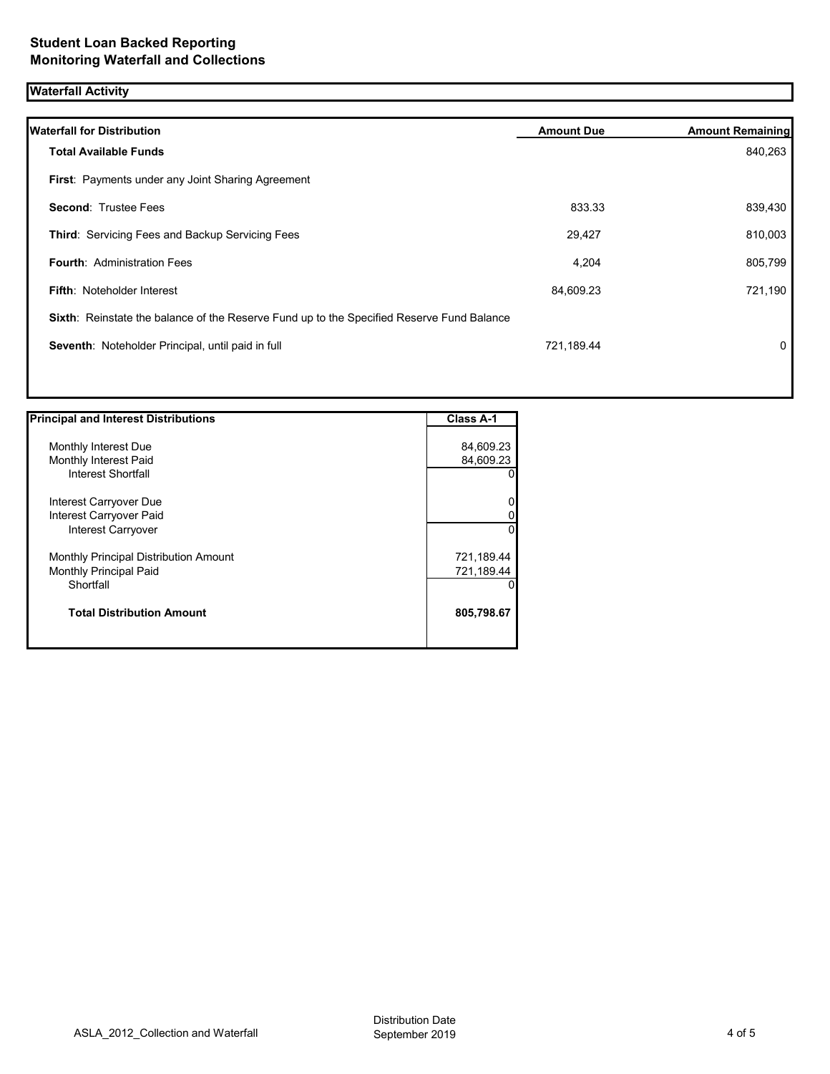## **Waterfall Activity**

| <b>Waterfall for Distribution</b>                                                         | <b>Amount Due</b> | <b>Amount Remaining</b> |
|-------------------------------------------------------------------------------------------|-------------------|-------------------------|
| <b>Total Available Funds</b>                                                              |                   | 840,263                 |
| First: Payments under any Joint Sharing Agreement                                         |                   |                         |
| <b>Second: Trustee Fees</b>                                                               | 833.33            | 839,430                 |
| Third: Servicing Fees and Backup Servicing Fees                                           | 29,427            | 810,003                 |
| <b>Fourth: Administration Fees</b>                                                        | 4,204             | 805,799                 |
| <b>Fifth: Noteholder Interest</b>                                                         | 84,609.23         | 721,190                 |
| Sixth: Reinstate the balance of the Reserve Fund up to the Specified Reserve Fund Balance |                   |                         |
| Seventh: Noteholder Principal, until paid in full                                         | 721,189.44        | $\mathbf{0}$            |
|                                                                                           |                   |                         |

| <b>Principal and Interest Distributions</b> | Class A-1  |
|---------------------------------------------|------------|
|                                             |            |
| Monthly Interest Due                        | 84,609.23  |
| Monthly Interest Paid                       | 84,609.23  |
| Interest Shortfall                          | 0          |
| Interest Carryover Due                      | 0          |
| Interest Carryover Paid                     | 0          |
| Interest Carryover                          | $\Omega$   |
| Monthly Principal Distribution Amount       | 721,189.44 |
| <b>Monthly Principal Paid</b>               | 721,189.44 |
| Shortfall                                   | 0          |
| <b>Total Distribution Amount</b>            | 805,798.67 |
|                                             |            |